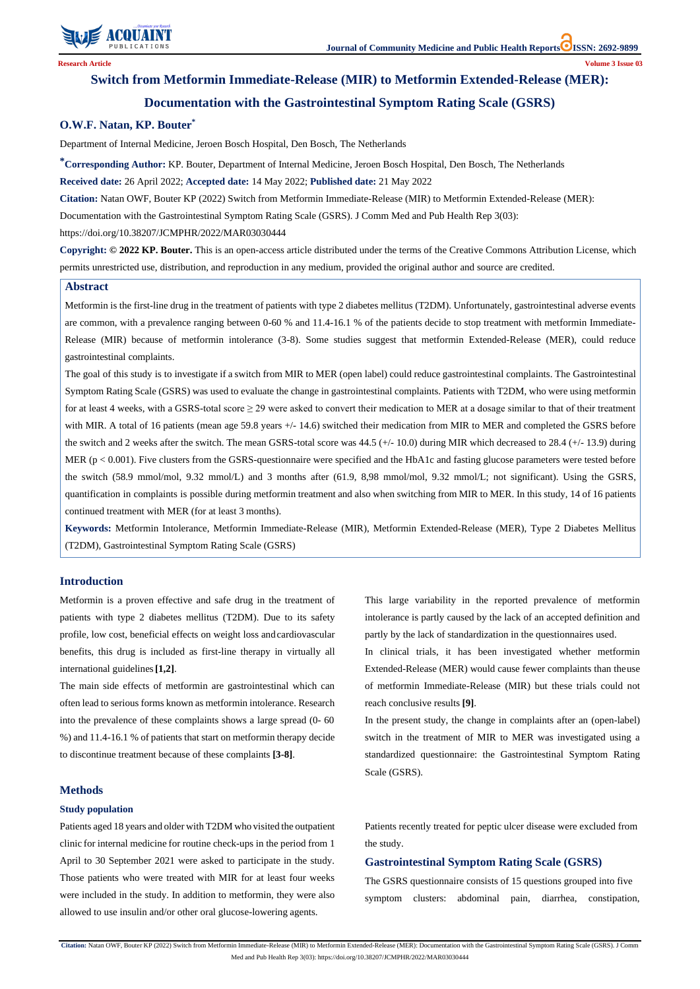

**Citation:** Natan OWF, Bouter KP (2022) Switch from Metformin Immediate-Release (MIR) to Metformin Extended-Release (MER): Documentation with the Gastrointestinal Symptom Rating Scale (GSRS). J Comm Med and Pub Health Rep 3(03): https://doi.org/10.38207/JCMPHR/2022/MAR03030444

# **Switch from Metformin Immediate-Release (MIR) to Metformin Extended-Release (MER):**

# **Documentation with the Gastrointestinal Symptom Rating Scale (GSRS)**

### **O.W.F. Natan, KP. Bouter\***

Department of Internal Medicine, Jeroen Bosch Hospital, Den Bosch, The Netherlands

**\*Corresponding Author:** KP. Bouter, Department of Internal Medicine, Jeroen Bosch Hospital, Den Bosch, The Netherlands

**Received date:** 26 April 2022; **Accepted date:** 14 May 2022; **Published date:** 21 May 2022

**Citation:** Natan OWF, Bouter KP (2022) Switch from Metformin Immediate-Release (MIR) to Metformin Extended-Release (MER):

Documentation with the Gastrointestinal Symptom Rating Scale (GSRS). J Comm Med and Pub Health Rep 3(03):

https://doi.org/10.38207/JCMPHR/2022/MAR03030444

**Copyright: © 2022 KP. Bouter.** This is an open-access article distributed under the terms of the Creative Commons Attribution License, which permits unrestricted use, distribution, and reproduction in any medium, provided the original author and source are credited.

#### **Introduction**

Metformin is a proven effective and safe drug in the treatment of patients with type 2 diabetes mellitus (T2DM). Due to its safety profile, low cost, beneficial effects on weight loss andcardiovascular benefits, this drug is included as first-line therapy in virtually all international guidelines**[1,2]**.

The main side effects of metformin are gastrointestinal which can often lead to serious forms known as metformin intolerance. Research into the prevalence of these complaints shows a large spread (0- 60 %) and 11.4-16.1 % of patients that start on metformin therapy decide

to discontinue treatment because of these complaints **[3-8]**.

### **Methods**

#### **Study population**

Patients aged 18 years and older with T2DM who visited the outpatient clinic for internal medicine for routine check-ups in the period from 1 April to 30 September 2021 were asked to participate in the study. Those patients who were treated with MIR for at least four weeks were included in the study. In addition to metformin, they were also allowed to use insulin and/or other oral glucose-lowering agents.

This large variability in the reported prevalence of metformin intolerance is partly caused by the lack of an accepted definition and partly by the lack of standardization in the questionnaires used.

In clinical trials, it has been investigated whether metformin Extended-Release (MER) would cause fewer complaints than theuse of metformin Immediate-Release (MIR) but these trials could not reach conclusive results **[9]**.

In the present study, the change in complaints after an (open-label) switch in the treatment of MIR to MER was investigated using a

standardized questionnaire: the Gastrointestinal Symptom Rating Scale (GSRS).

Patients recently treated for peptic ulcer disease were excluded from the study.

## **Gastrointestinal Symptom Rating Scale (GSRS)**

The GSRS questionnaire consists of 15 questions grouped into five symptom clusters: abdominal pain, diarrhea, constipation,

#### **Abstract**

Metformin is the first-line drug in the treatment of patients with type 2 diabetes mellitus (T2DM). Unfortunately, gastrointestinal adverse events are common, with a prevalence ranging between 0-60 % and 11.4-16.1 % of the patients decide to stop treatment with metformin Immediate-Release (MIR) because of metformin intolerance (3-8). Some studies suggest that metformin Extended-Release (MER), could reduce gastrointestinal complaints.

The goal of this study is to investigate if a switch from MIR to MER (open label) could reduce gastrointestinal complaints. The Gastrointestinal Symptom Rating Scale (GSRS) was used to evaluate the change in gastrointestinal complaints. Patients with T2DM, who were using metformin for at least 4 weeks, with a GSRS-total score  $\geq$  29 were asked to convert their medication to MER at a dosage similar to that of their treatment with MIR. A total of 16 patients (mean age 59.8 years  $+/- 14.6$ ) switched their medication from MIR to MER and completed the GSRS before the switch and 2 weeks after the switch. The mean GSRS-total score was  $44.5$  (+/- 10.0) during MIR which decreased to 28.4 (+/- 13.9) during MER ( $p < 0.001$ ). Five clusters from the GSRS-questionnaire were specified and the HbA1c and fasting glucose parameters were tested before the switch (58.9 mmol/mol, 9.32 mmol/L) and 3 months after (61.9, 8,98 mmol/mol, 9.32 mmol/L; not significant). Using the GSRS, quantification in complaints is possible during metformin treatment and also when switching from MIR to MER. In this study, 14 of 16 patients continued treatment with MER (for at least 3 months).

**Keywords:** Metformin Intolerance, Metformin Immediate-Release (MIR), Metformin Extended-Release (MER), Type 2 Diabetes Mellitus (T2DM), Gastrointestinal Symptom Rating Scale (GSRS)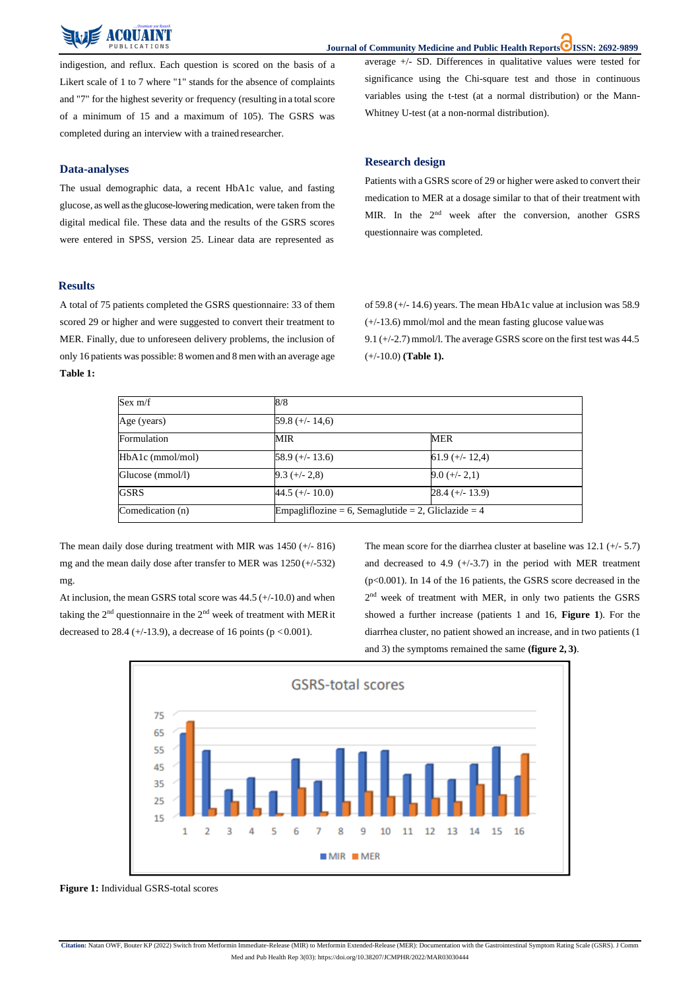

**Journal of Community Medicine and Public Health Reports ISSN: 2692-9899**

**Citation:** Natan OWF, Bouter KP (2022) Switch from Metformin Immediate-Release (MIR) to Metformin Extended-Release (MER): Documentation with the Gastrointestinal Symptom Rating Scale (GSRS). J Comm

Med and Pub Health Rep 3(03): https://doi.org/10.38207/JCMPHR/2022/MAR03030444

indigestion, and reflux. Each question is scored on the basis of a Likert scale of 1 to 7 where "1" stands for the absence of complaints and "7" for the highest severity or frequency (resulting in a total score of a minimum of 15 and a maximum of 105). The GSRS was completed during an interview with a trained researcher.

## **Data-analyses**

The usual demographic data, a recent HbA1c value, and fasting glucose, aswell asthe glucose-loweringmedication, were taken from the digital medical file. These data and the results of the GSRS scores were entered in SPSS, version 25. Linear data are represented as average +/- SD. Differences in qualitative values were tested for significance using the Chi-square test and those in continuous variables using the t-test (at a normal distribution) or the Mann-Whitney U-test (at a non-normal distribution).

At inclusion, the mean GSRS total score was 44.5 (+/-10.0) and when taking the  $2<sup>nd</sup>$  questionnaire in the  $2<sup>nd</sup>$  week of treatment with MER it decreased to 28.4 (+/-13.9), a decrease of 16 points ( $p < 0.001$ ).

### **Research design**

Patients with a GSRS score of 29 or higher were asked to convert their medication to MER at a dosage similar to that of their treatment with MIR. In the 2<sup>nd</sup> week after the conversion, another GSRS questionnaire was completed.

### **Results**

The mean score for the diarrhea cluster at baseline was  $12.1$  (+/- 5.7) and decreased to 4.9  $(+/-3.7)$  in the period with MER treatment (p<0.001). In 14 of the 16 patients, the GSRS score decreased in the 2<sup>nd</sup> week of treatment with MER, in only two patients the GSRS showed a further increase (patients 1 and 16, **Figure 1**). For the diarrhea cluster, no patient showed an increase, and in two patients (1 and 3) the symptoms remained the same **(figure 2, 3)**.



A total of 75 patients completed the GSRS questionnaire: 33 of them scored 29 or higher and were suggested to convert their treatment to MER. Finally, due to unforeseen delivery problems, the inclusion of only 16 patients was possible: 8 women and 8 men with an average age **Table 1:**

of 59.8 (+/- 14.6) years. The mean HbA1c value at inclusion was 58.9 (+/-13.6) mmol/mol and the mean fasting glucose valuewas 9.1 (+/-2.7) mmol/l. The average GSRS score on the first test was 44.5 (+/-10.0) **(Table 1).**

| Sex $m/f$          | 8/8               |                                                     |  |
|--------------------|-------------------|-----------------------------------------------------|--|
| Age (years)        | 59.8 $(+/- 14,6)$ |                                                     |  |
| Formulation        | MIR               | <b>MER</b>                                          |  |
| $HbA1c$ (mmol/mol) | $58.9 (+/- 13.6)$ | $61.9 (+/- 12.4)$                                   |  |
| Glucose (mmol/l)   | $9.3 (+/- 2.8)$   | $9.0 (+/- 2,1)$                                     |  |
| <b>GSRS</b>        | 44.5 (+/- 10.0)   | $28.4 (+/- 13.9)$                                   |  |
| Comedication (n)   |                   | Empagliflozine = 6, Semaglutide = 2, Gliclazide = 4 |  |

The mean daily dose during treatment with MIR was 1450 (+/- 816) mg and the mean daily dose after transfer to MER was 1250 (+/-532) mg.

**Figure 1:** Individual GSRS-total scores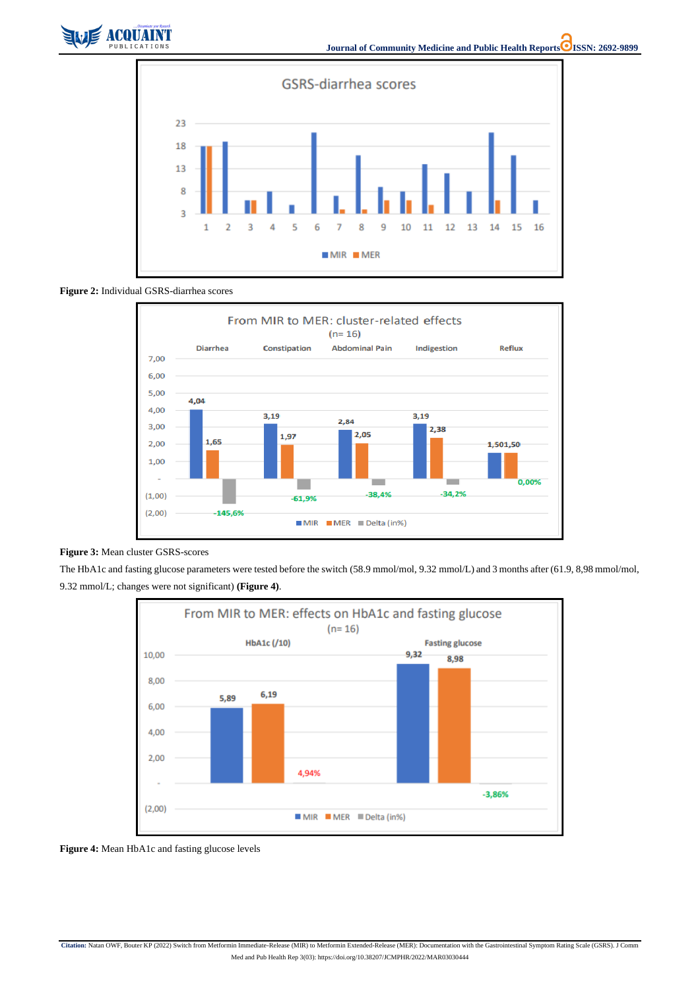

**Citation:** Natan OWF, Bouter KP (2022) Switch from Metformin Immediate-Release (MIR) to Metformin Extended-Release (MER): Documentation with the Gastrointestinal Symptom Rating Scale (GSRS). J Comm

Med and Pub Health Rep 3(03): https://doi.org/10.38207/JCMPHR/2022/MAR03030444



**Figure 2:** Individual GSRS-diarrhea scores





The HbA1c and fasting glucose parameters were tested before the switch (58.9 mmol/mol, 9.32 mmol/L) and 3 months after (61.9, 8,98 mmol/mol, 9.32 mmol/L; changes were not significant) **(Figure 4)**.



**Figure 4:** Mean HbA1c and fasting glucose levels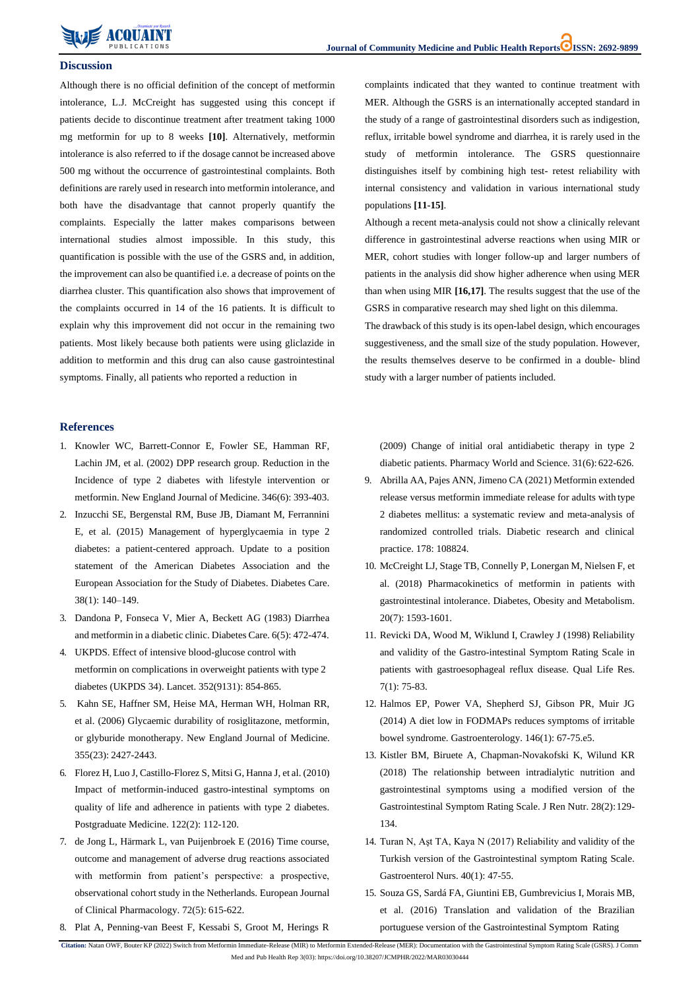

**Citation:** Natan OWF, Bouter KP (2022) Switch from Metformin Immediate-Release (MIR) to Metformin Extended-Release (MER): Documentation with the Gastrointestinal Symptom Rating Scale (GSRS). J Comm Med and Pub Health Rep 3(03): https://doi.org/10.38207/JCMPHR/2022/MAR03030444

#### **Discussion**

Although there is no official definition of the concept of metformin intolerance, L.J. McCreight has suggested using this concept if patients decide to discontinue treatment after treatment taking 1000 mg metformin for up to 8 weeks **[10]**. Alternatively, metformin intolerance is also referred to if the dosage cannot be increased above 500 mg without the occurrence of gastrointestinal complaints. Both definitions are rarely used in research into metformin intolerance, and both have the disadvantage that cannot properly quantify the complaints. Especially the latter makes comparisons between international studies almost impossible. In this study, this quantification is possible with the use of the GSRS and, in addition, the improvement can also be quantified i.e. a decrease of points on the diarrhea cluster. This quantification also shows that improvement of the complaints occurred in 14 of the 16 patients. It is difficult to explain why this improvement did not occur in the remaining two patients. Most likely because both patients were using gliclazide in addition to metformin and this drug can also cause gastrointestinal symptoms. Finally, all patients who reported a reduction in

complaints indicated that they wanted to continue treatment with MER. Although the GSRS is an internationally accepted standard in the study of a range of gastrointestinal disorders such as indigestion, reflux, irritable bowel syndrome and diarrhea, it is rarely used in the study of metformin intolerance. The GSRS questionnaire distinguishes itself by combining high test- retest reliability with internal consistency and validation in various international study populations **[11-15]**.

Although a recent meta-analysis could not show a clinically relevant difference in gastrointestinal adverse reactions when using MIR or MER, cohort studies with longer follow-up and larger numbers of patients in the analysis did show higher adherence when using MER than when using MIR **[16,17]**. The results suggest that the use of the GSRS in comparative research may shed light on this dilemma. The drawback of this study is its open-label design, which encourages suggestiveness, and the small size of the study population. However, the results themselves deserve to be confirmed in a double- blind study with a larger number of patients included.

### **References**

- 1. [Knowler WC, Barrett-Connor E, Fowler SE, Hamman RF,](https://pubmed.ncbi.nlm.nih.gov/11832527/) [Lachin JM, et al. \(2002\) DPP research group. Reduction in the](https://pubmed.ncbi.nlm.nih.gov/11832527/) [Incidence of type 2 diabetes with lifestyle intervention or](https://pubmed.ncbi.nlm.nih.gov/11832527/) [metformin.](https://pubmed.ncbi.nlm.nih.gov/11832527/) New England Journal of Medicine. 346(6): 393-403.
- 2. [Inzucchi SE, Bergenstal RM, Buse JB, Diamant M, Ferrannini](https://diabetesjournals.org/care/article/38/1/140/37869/Management-of-Hyperglycemia-in-Type-2-Diabetes) [E, et al. \(2015\) Management of hyperglycaemia in type 2](https://diabetesjournals.org/care/article/38/1/140/37869/Management-of-Hyperglycemia-in-Type-2-Diabetes) [diabetes: a patient-centered approach. Update to a position](https://diabetesjournals.org/care/article/38/1/140/37869/Management-of-Hyperglycemia-in-Type-2-Diabetes) [statement of the American Diabetes Association and the](https://diabetesjournals.org/care/article/38/1/140/37869/Management-of-Hyperglycemia-in-Type-2-Diabetes) [European Association for the Study of Diabetes. Diabetes Care.](https://diabetesjournals.org/care/article/38/1/140/37869/Management-of-Hyperglycemia-in-Type-2-Diabetes) 38(1): [140–149.](https://diabetesjournals.org/care/article/38/1/140/37869/Management-of-Hyperglycemia-in-Type-2-Diabetes)
- 3. [Dandona P, Fonseca V, Mier A, Beckett AG \(1983\) Diarrhea](https://pubmed.ncbi.nlm.nih.gov/6336343/#%3A~%3Atext%3DOnly%206%25%20of%20insulin%2Ddependent%2Cwhere%20it%20is%20used%20routinely) and [metformin](https://pubmed.ncbi.nlm.nih.gov/6336343/#%3A~%3Atext%3DOnly%206%25%20of%20insulin%2Ddependent%2Cwhere%20it%20is%20used%20routinely) in a diabetic clinic. Diabetes Care. 6(5): 472-474.
- 4. [UKPDS. Effect of intensive blood-glucose control with](https://pubmed.ncbi.nlm.nih.gov/9742977/) [metformin on complications in overweight patients with type](https://pubmed.ncbi.nlm.nih.gov/9742977/) [2](https://pubmed.ncbi.nlm.nih.gov/9742977/) [diabetes \(UKPDS 34\). Lancet. 352\(9131\):](https://pubmed.ncbi.nlm.nih.gov/9742977/) 854-865.
- 5. [Kahn SE, Haffner SM, Heise MA, Herman WH, Holman RR,](https://pubmed.ncbi.nlm.nih.gov/17145742/) [et al. \(2006\) Glycaemic durability of rosiglitazone, metformin,](https://pubmed.ncbi.nlm.nih.gov/17145742/) [or glyburide monotherapy. New England Journal of Medicine.](https://pubmed.ncbi.nlm.nih.gov/17145742/)

355(23): [2427-2443.](https://pubmed.ncbi.nlm.nih.gov/17145742/)

- 6. Florez H, Luo J, [Castillo-Florez](https://pubmed.ncbi.nlm.nih.gov/20203462/) S, Mitsi G, Hanna J, et al. (2010[\)](https://pubmed.ncbi.nlm.nih.gov/20203462/) [Impact of metformin-induced gastro-intestinal symptoms on](https://pubmed.ncbi.nlm.nih.gov/20203462/) [quality of life and adherence in patients with type 2 diabetes.](https://pubmed.ncbi.nlm.nih.gov/20203462/) [Postgraduate Medicine. 122\(2\):](https://pubmed.ncbi.nlm.nih.gov/20203462/) 112-120.
- 7. [de Jong L, Härmark L, van Puijenbroek E \(2016\) Time course,](https://pubmed.ncbi.nlm.nih.gov/26864966/) [outcome and management of adverse drug reactions associated](https://pubmed.ncbi.nlm.nih.gov/26864966/) [with metformin from patient's perspective: a prospective,](https://pubmed.ncbi.nlm.nih.gov/26864966/) [observational](https://pubmed.ncbi.nlm.nih.gov/26864966/) cohort study in the Netherlands. European Journa[l](https://pubmed.ncbi.nlm.nih.gov/26864966/) [of Clinical Pharmacology. 72\(5\):](https://pubmed.ncbi.nlm.nih.gov/26864966/) 615-622.
- 8. Plat A, [Penning-van](https://pubmed.ncbi.nlm.nih.gov/19690978/) Beest F, Kessabi S, Groot M, Herings R

[\(2009\) Change of initial oral antidiabetic therapy in type 2](https://pubmed.ncbi.nlm.nih.gov/19690978/) [diabetic patients. Pharmacy World and Science. 31\(6\):](https://pubmed.ncbi.nlm.nih.gov/19690978/) 622-626.

- 9. Abrilla AA, Pajes ANN, Jimeno CA (2021) [Metformin](https://pubmed.ncbi.nlm.nih.gov/33887354/) extende[d](https://pubmed.ncbi.nlm.nih.gov/33887354/) [release versus metformin immediate release for adults with](https://pubmed.ncbi.nlm.nih.gov/33887354/) typ[e](https://pubmed.ncbi.nlm.nih.gov/33887354/) [2 diabetes mellitus: a systematic review and meta-analysis of](https://pubmed.ncbi.nlm.nih.gov/33887354/) [randomized controlled trials. Diabetic research and clinical](https://pubmed.ncbi.nlm.nih.gov/33887354/) [practice. 178:](https://pubmed.ncbi.nlm.nih.gov/33887354/) 108824.
- 10. [McCreight](https://pubmed.ncbi.nlm.nih.gov/29457876/#%3A~%3Atext%3DResults%3A%20The%20intolerant%20individuals%20were%2CL%2C%20respectively%20(P%20%3D%20) LJ, Stage TB, Connelly P, Lonergan M, Nielsen F, e[t](https://pubmed.ncbi.nlm.nih.gov/29457876/#%3A~%3Atext%3DResults%3A%20The%20intolerant%20individuals%20were%2CL%2C%20respectively%20(P%20%3D%20) [al. \(2018\) Pharmacokinetics of metformin in patients with](https://pubmed.ncbi.nlm.nih.gov/29457876/#%3A~%3Atext%3DResults%3A%20The%20intolerant%20individuals%20were%2CL%2C%20respectively%20(P%20%3D%20) [gastrointestinal intolerance. Diabetes, Obesity and Metabolism.](https://pubmed.ncbi.nlm.nih.gov/29457876/#%3A~%3Atext%3DResults%3A%20The%20intolerant%20individuals%20were%2CL%2C%20respectively%20(P%20%3D%20) 20(7): [1593-1601.](https://pubmed.ncbi.nlm.nih.gov/29457876/#%3A~%3Atext%3DResults%3A%20The%20intolerant%20individuals%20were%2CL%2C%20respectively%20(P%20%3D%20)
- 11. [Revicki DA, Wood M, Wiklund I, Crawley J \(1998\) Reliability](https://pubmed.ncbi.nlm.nih.gov/9481153/#%3A~%3Atext%3DIt%20was%20concluded%20that%20the%2Cand%20are%20responsive%20to%20treatment) [and validity of the Gastro-intestinal Symptom Rating Scale in](https://pubmed.ncbi.nlm.nih.gov/9481153/#%3A~%3Atext%3DIt%20was%20concluded%20that%20the%2Cand%20are%20responsive%20to%20treatment) [patients with gastroesophageal reflux disease. Qual Life Res.](https://pubmed.ncbi.nlm.nih.gov/9481153/#%3A~%3Atext%3DIt%20was%20concluded%20that%20the%2Cand%20are%20responsive%20to%20treatment) 7(1): [75-83.](https://pubmed.ncbi.nlm.nih.gov/9481153/#%3A~%3Atext%3DIt%20was%20concluded%20that%20the%2Cand%20are%20responsive%20to%20treatment)
- 12. [Halmos EP, Power VA, Shepherd SJ, Gibson PR, Muir JG](https://pubmed.ncbi.nlm.nih.gov/24076059/) [\(2014\) A diet low in FODMAPs reduces symptoms of irritable](https://pubmed.ncbi.nlm.nih.gov/24076059/) [bowel syndrome. Gastroenterology. 146\(1\):](https://pubmed.ncbi.nlm.nih.gov/24076059/) 67-75.e5.

13. [Kistler BM, Biruete A, Chapman-Novakofski K, Wilund KR](https://pubmed.ncbi.nlm.nih.gov/29471989/) [\(2018\) The relationship between intradialytic nutrition and](https://pubmed.ncbi.nlm.nih.gov/29471989/) [gastrointestinal symptoms using a modified version of the](https://pubmed.ncbi.nlm.nih.gov/29471989/) [Gastrointestinal Symptom Rating Scale. J Ren Nutr. 28\(2\):129-](https://pubmed.ncbi.nlm.nih.gov/29471989/) [134.](https://pubmed.ncbi.nlm.nih.gov/29471989/)

14. [Turan N, Aşt TA, Kaya N \(2017\) Reliability and validity of](https://pubmed.ncbi.nlm.nih.gov/28134719/#%3A~%3Atext%3DThe%20Turkish%20version%20of%20the%20GSRS%20has%20been%20found%20to%2Cconfidently%20used%20with%20Turkish%20individuals) th[e](https://pubmed.ncbi.nlm.nih.gov/28134719/#%3A~%3Atext%3DThe%20Turkish%20version%20of%20the%20GSRS%20has%20been%20found%20to%2Cconfidently%20used%20with%20Turkish%20individuals) [Turkish version of the Gastrointestinal symptom Rating Scale.](https://pubmed.ncbi.nlm.nih.gov/28134719/#%3A~%3Atext%3DThe%20Turkish%20version%20of%20the%20GSRS%20has%20been%20found%20to%2Cconfidently%20used%20with%20Turkish%20individuals) [Gastroenterol Nurs. 40\(1\):](https://pubmed.ncbi.nlm.nih.gov/28134719/#%3A~%3Atext%3DThe%20Turkish%20version%20of%20the%20GSRS%20has%20been%20found%20to%2Cconfidently%20used%20with%20Turkish%20individuals) 47-55. 15. Souza GS, Sardá FA, Giuntini EB, [Gumbrevicius](https://pubmed.ncbi.nlm.nih.gov/27438418/) I, Morais MB[,](https://pubmed.ncbi.nlm.nih.gov/27438418/) [et al. \(2016\) Translation and validation of the Brazilian](https://pubmed.ncbi.nlm.nih.gov/27438418/) [portuguese version of the Gastrointestinal Symptom](https://pubmed.ncbi.nlm.nih.gov/27438418/) Rating